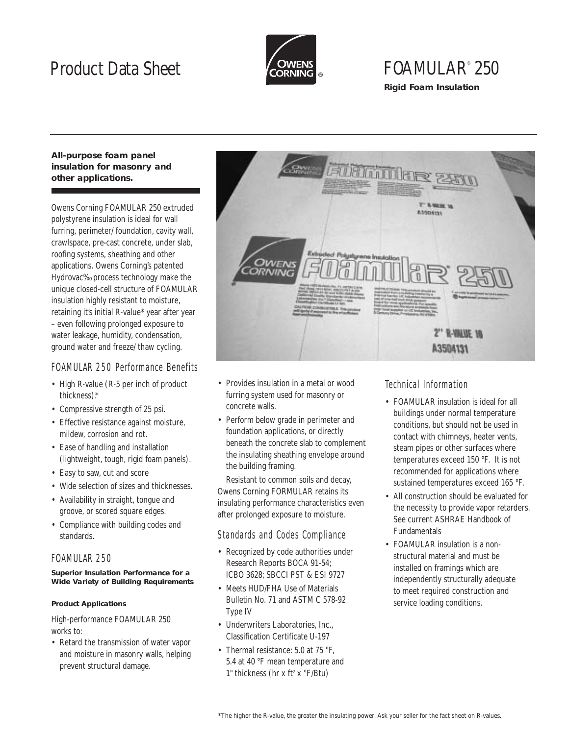## Product Data Sheet



# FOAMULAR® 250

**Rigid Foam Insulation**

### **All-purpose foam panel insulation for masonry and other applications.**

Owens Corning FOAMULAR 250 extruded polystyrene insulation is ideal for wall furring, perimeter/ foundation, cavity wall, crawlspace, pre-cast concrete, under slab, roofing systems, sheathing and other applications. Owens Corning's patented Hydrovac‰ process technology make the unique closed-cell structure of FOAMULAR insulation highly resistant to moisture, retaining it's initial R-value\* year after year – even following prolonged exposure to water leakage, humidity, condensation, ground water and freeze/ thaw cycling.

## FOAMULAR 250 Performance Benefits

- High R-value (R-5 per inch of product thickness).\*
- Compressive strength of 25 psi.
- Effective resistance against moisture, mildew, corrosion and rot.
- Ease of handling and installation (lightweight, tough, rigid foam panels).
- Easy to saw, cut and score
- Wide selection of sizes and thicknesses.
- Availability in straight, tongue and groove, or scored square edges.
- Compliance with building codes and standards.

## FOAMULAR 250

#### **Superior Insulation Performance for a Wide Variety of Building Requirements**

#### **Product Applications**

High-performance FOAMULAR 250 works to:

• Retard the transmission of water vapor and moisture in masonry walls, helping prevent structural damage.



- Provides insulation in a metal or wood furring system used for masonry or concrete walls.
- Perform below grade in perimeter and foundation applications, or directly beneath the concrete slab to complement the insulating sheathing envelope around the building framing.

Resistant to common soils and decay, Owens Corning FORMULAR retains its insulating performance characteristics even after prolonged exposure to moisture.

### Standards and Codes Compliance

- Recognized by code authorities under Research Reports BOCA 91-54; ICBO 3628; SBCCI PST & ESI 9727
- Meets HUD/FHA Use of Materials Bulletin No. 71 and ASTM C 578-92 Type IV
- Underwriters Laboratories, Inc... Classification Certificate U-197
- Thermal resistance: 5.0 at 75 °F. 5.4 at 40 °F mean temperature and 1" thickness (hr x ft<sup>2</sup> x  $\mathrm{F/Btu}$ )

## Technical Information

- FOAMULAR insulation is ideal for all buildings under normal temperature conditions, but should not be used in contact with chimneys, heater vents, steam pipes or other surfaces where temperatures exceed 150 °F. It is not recommended for applications where sustained temperatures exceed 165 °F.
- All construction should be evaluated for the necessity to provide vapor retarders. See current ASHRAE Handbook of Fundamentals
- FOAMULAR insulation is a nonstructural material and must be installed on framings which are independently structurally adequate to meet required construction and service loading conditions.